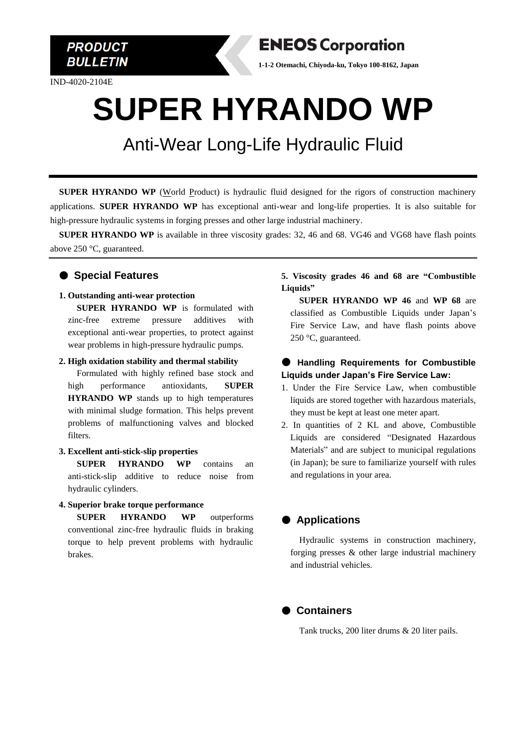

IND-4020-2104E



**1-1-2 Otemachi, Chiyoda-ku, Tokyo 100-8162, Japan**

# **SUPER HYRANDO WP**

### Anti-Wear Long-Life Hydraulic Fluid

 **SUPER HYRANDO WP** (World Product) is hydraulic fluid designed for the rigors of construction machinery applications. **SUPER HYRANDO WP** has exceptional anti-wear and long-life properties. It is also suitable for high-pressure hydraulic systems in forging presses and other large industrial machinery.

 **SUPER HYRANDO WP** is available in three viscosity grades: 32, 46 and 68. VG46 and VG68 have flash points above 250 °C, guaranteed.

#### ● **Special Features**

**1. Outstanding anti-wear protection**

**SUPER HYRANDO WP** is formulated with zinc-free extreme pressure additives with exceptional anti-wear properties, to protect against wear problems in high-pressure hydraulic pumps.

**2. High oxidation stability and thermal stability**

Formulated with highly refined base stock and high performance antioxidants, **SUPER HYRANDO WP** stands up to high temperatures with minimal sludge formation. This helps prevent problems of malfunctioning valves and blocked filters.

**3. Excellent anti-stick-slip properties**

**SUPER HYRANDO WP** contains an anti-stick-slip additive to reduce noise from hydraulic cylinders.

#### **4. Superior brake torque performance**

**SUPER HYRANDO WP** outperforms conventional zinc-free hydraulic fluids in braking torque to help prevent problems with hydraulic brakes.

#### **5. Viscosity grades 46 and 68 are "Combustible Liquids"**

**SUPER HYRANDO WP 46** and **WP 68** are classified as Combustible Liquids under Japan's Fire Service Law, and have flash points above 250 °C, guaranteed.

#### ● **Handling Requirements for Combustible Liquids under Japan's Fire Service Law:**

- 1. Under the Fire Service Law, when combustible liquids are stored together with hazardous materials, they must be kept at least one meter apart.
- 2. In quantities of 2 KL and above, Combustible Liquids are considered "Designated Hazardous Materials" and are subject to municipal regulations (in Japan); be sure to familiarize yourself with rules and regulations in your area.

#### ● **Applications**

Hydraulic systems in construction machinery, forging presses & other large industrial machinery and industrial vehicles.



Tank trucks, 200 liter drums & 20 liter pails.